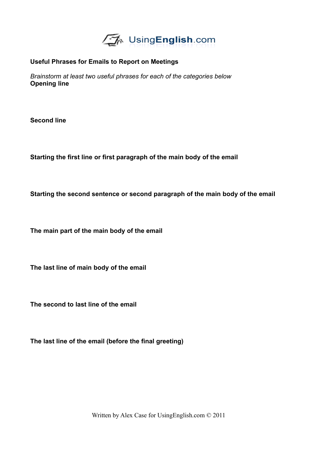

#### **Useful Phrases for Emails to Report on Meetings**

*Brainstorm at least two useful phrases for each of the categories below* **Opening line**

**Second line**

**Starting the first line or first paragraph of the main body of the email**

**Starting the second sentence or second paragraph of the main body of the email**

**The main part of the main body of the email**

**The last line of main body of the email**

**The second to last line of the email**

**The last line of the email (before the final greeting)**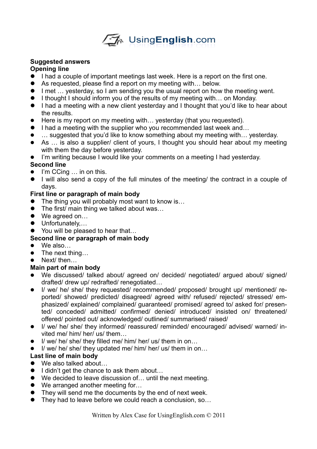

#### **Suggested answers**

#### **Opening line**

- I had a couple of important meetings last week. Here is a report on the first one.
- As requested, please find a report on my meeting with... below.
- I met … yesterday, so I am sending you the usual report on how the meeting went.
- I thought I should inform you of the results of my meeting with... on Monday.
- I had a meeting with a new client yesterday and I thought that you'd like to hear about the results.
- Here is my report on my meeting with... yesterday (that you requested).
- I had a meeting with the supplier who you recommended last week and...
- ... suggested that you'd like to know something about my meeting with... yesterday.
- As … is also a supplier/ client of yours, I thought you should hear about my meeting with them the day before vesterday.

I'm writing because I would like your comments on a meeting I had yesterday.

# **Second line**

- $\bullet$  I'm CCing  $\ldots$  in on this.
- I will also send a copy of the full minutes of the meeting/ the contract in a couple of days.

# **First line or paragraph of main body**

- The thing you will probably most want to know is...
- The first/ main thing we talked about was...
- We agreed on...
- Unfortunately,...
- You will be pleased to hear that...

# **Second line or paragraph of main body**

- We also…
- The next thing...
- Next/ then…

# **Main part of main body**

- We discussed/ talked about/ agreed on/ decided/ negotiated/ argued about/ signed/ drafted/ drew up/ redrafted/ renegotiated…
- I/ we/ he/ she/ they requested/ recommended/ proposed/ brought up/ mentioned/ reported/ showed/ predicted/ disagreed/ agreed with/ refused/ rejected/ stressed/ emphasized/ explained/ complained/ guaranteed/ promised/ agreed to/ asked for/ presented/ conceded/ admitted/ confirmed/ denied/ introduced/ insisted on/ threatened/ offered/ pointed out/ acknowledged/ outlined/ summarised/ raised/
- I/ we/ he/ she/ they informed/ reassured/ reminded/ encouraged/ advised/ warned/ invited me/ him/ her/ us/ them…
- I/ we/ he/ she/ they filled me/ him/ her/ us/ them in on...
- I/ we/ he/ she/ they updated me/ him/ her/ us/ them in on...

# **Last line of main body**

- We also talked about...
- $\bullet$  I didn't get the chance to ask them about...
- We decided to leave discussion of... until the next meeting.
- We arranged another meeting for...
- They will send me the documents by the end of next week.
- They had to leave before we could reach a conclusion, so...